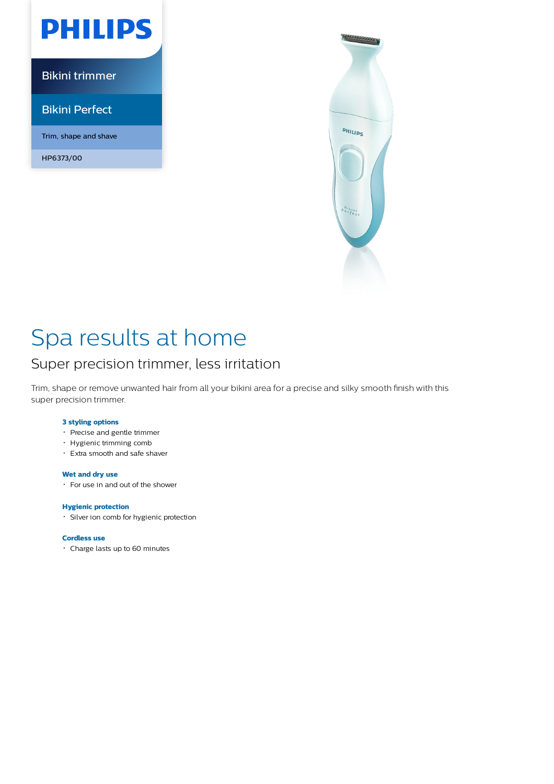

Bikini trimmer

Bikini Perfect

Trim, shape and shave

HP6373/00



# Spa results at home

## Super precision trimmer, less irritation

Trim, shape or remove unwanted hair from all your bikini area for a precise and silky smooth finish with this super precision trimmer.

### **3 styling options**

- Precise and gentle trimmer
- Hygienic trimming comb
- Extra smooth and safe shaver

### **Wet and dry use**

For use in and out of the shower

### **Hygienic protection**

Silver ion comb for hygienic protection

### **Cordless use**

Charge lasts up to 60 minutes